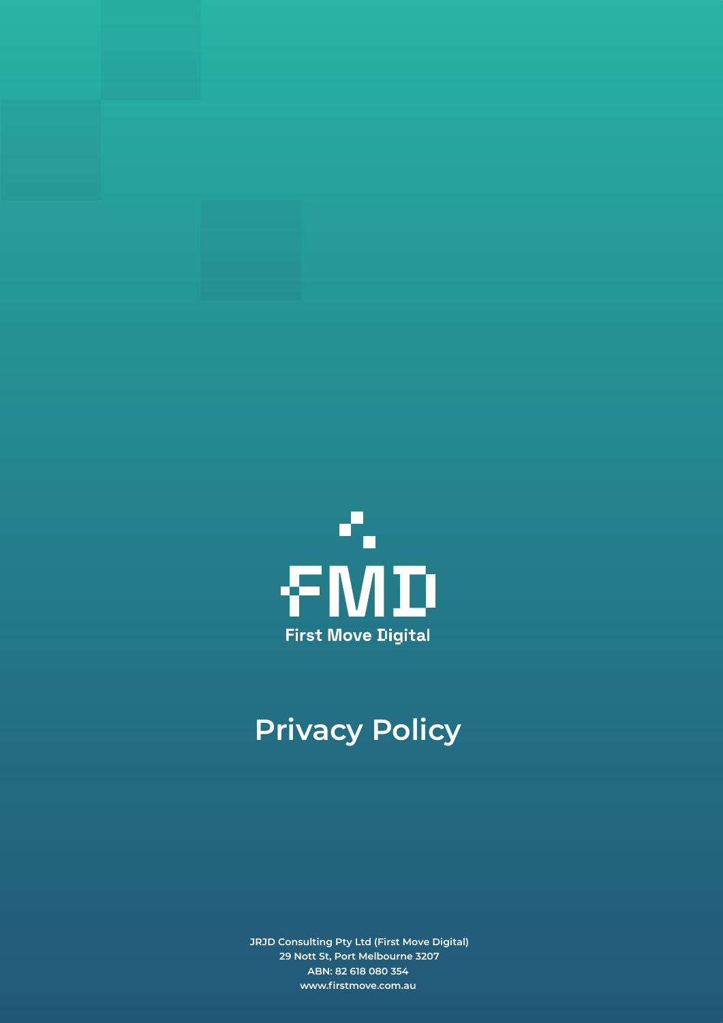

## **Privacy Policy**

**JRJD Consulting Pty Ltd (First Move Digital) 29 Nott St, Port Melbourne 3207 ABN: 82 618 080 354 www.firstmove.com.au**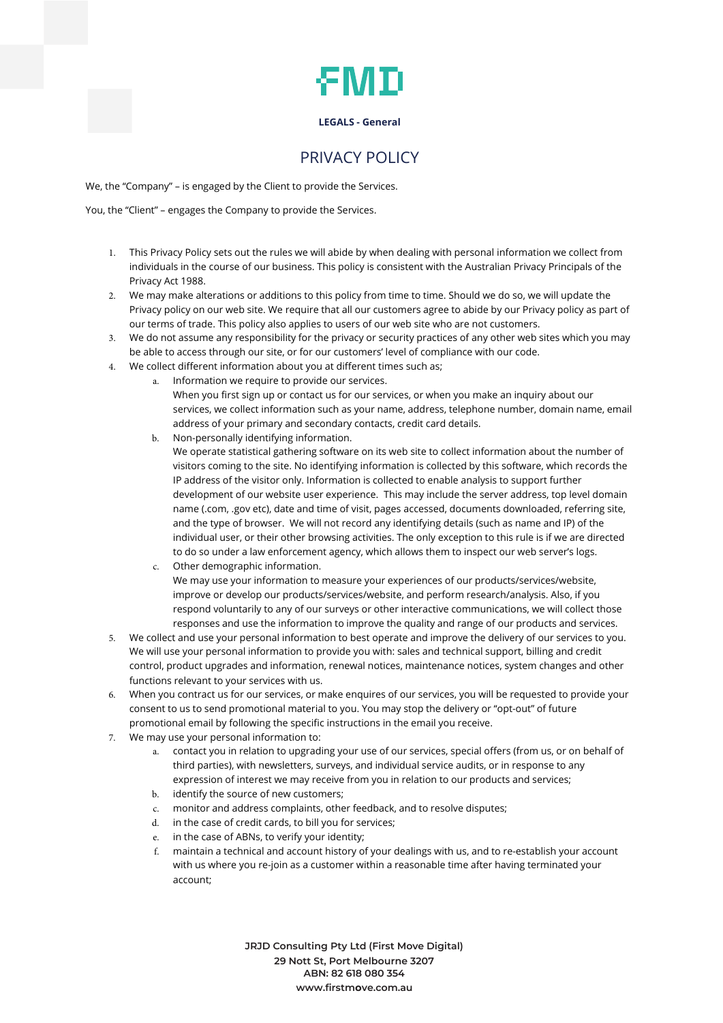## ÆМD

### **LEGALS - General**

### PRIVACY POLICY

We, the "Company" – is engaged by the Client to provide the Services.

You, the "Client" – engages the Company to provide the Services.

- This Privacy Policy sets out the rules we will abide by when dealing with personal information we collect from individuals in the course of our business. This policy is consistent with the Australian Privacy Principals of the Privacy Act 1988.
- We may make alterations or additions to this policy from time to time. Should we do so, we will update the Privacy policy on our web site. We require that all our customers agree to abide by our Privacy policy as part of our terms of trade. This policy also applies to users of our web site who are not customers.
- We do not assume any responsibility for the privacy or security practices of any other web sites which you may be able to access through our site, or for our customers' level of compliance with our code.
- We collect different information about you at different times such as;
	- a. Information we require to provide our services. When you first sign up or contact us for our services, or when you make an inquiry about our services, we collect information such as your name, address, telephone number, domain name, email address of your primary and secondary contacts, credit card details.
	- b. Non-personally identifying information. We operate statistical gathering software on its web site to collect information about the number of visitors coming to the site. No identifying information is collected by this software, which records the IP address of the visitor only. Information is collected to enable analysis to support further development of our website user experience. This may include the server address, top level domain name (.com, .gov etc), date and time of visit, pages accessed, documents downloaded, referring site, and the type of browser. We will not record any identifying details (such as name and IP) of the individual user, or their other browsing activities. The only exception to this rule is if we are directed to do so under a law enforcement agency, which allows them to inspect our web server's logs.
	- c. Other demographic information. We may use your information to measure your experiences of our products/services/website, improve or develop our products/services/website, and perform research/analysis. Also, if you respond voluntarily to any of our surveys or other interactive communications, we will collect those responses and use the information to improve the quality and range of our products and services.
- We collect and use your personal information to best operate and improve the delivery of our services to you. We will use your personal information to provide you with: sales and technical support, billing and credit control, product upgrades and information, renewal notices, maintenance notices, system changes and other functions relevant to your services with us.
- When you contract us for our services, or make enquires of our services, you will be requested to provide your consent to us to send promotional material to you. You may stop the delivery or "opt-out" of future promotional email by following the specific instructions in the email you receive.
- We may use your personal information to:
	- a. contact you in relation to upgrading your use of our services, special offers (from us, or on behalf of third parties), with newsletters, surveys, and individual service audits, or in response to any expression of interest we may receive from you in relation to our products and services;
	- b. identify the source of new customers;
	- c. monitor and address complaints, other feedback, and to resolve disputes;
	- d. in the case of credit cards, to bill you for services;
	- e. in the case of ABNs, to verify your identity;
	- f. maintain a technical and account history of your dealings with us, and to re-establish your account with us where you re-join as a customer within a reasonable time after having terminated your account;

**JRJD Consulting Pty Ltd (First Move Digital) 29 Nott St, Port Melbourne 3207 ABN: 82 618 080 354 www.firstmove.com.au**